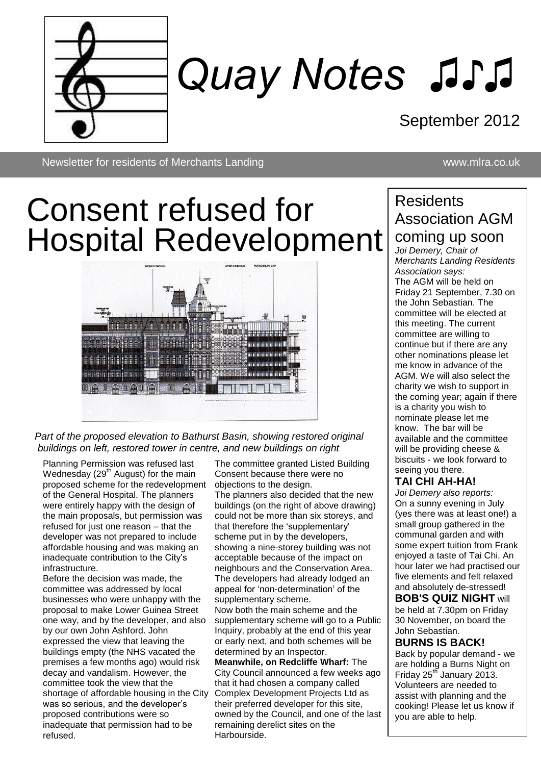

# *Quay Notes ♫♪♫*

### September 2012

Newsletter for residents of Merchants Landing www.mlra.co.uk

## Consent refused for Hospital Redevelopment



*Part of the proposed elevation to Bathurst Basin, showing restored original buildings on left, restored tower in centre, and new buildings on right* 

Planning Permission was refused last Wednesday ( $29<sup>th</sup>$  August) for the main proposed scheme for the redevelopment of the General Hospital. The planners were entirely happy with the design of the main proposals, but permission was refused for just one reason – that the developer was not prepared to include affordable housing and was making an inadequate contribution to the City's infrastructure.

Before the decision was made, the committee was addressed by local businesses who were unhappy with the proposal to make Lower Guinea Street one way, and by the developer, and also by our own John Ashford. John expressed the view that leaving the buildings empty (the NHS vacated the premises a few months ago) would risk decay and vandalism. However, the committee took the view that the shortage of affordable housing in the City was so serious, and the developer's proposed contributions were so inadequate that permission had to be refused.

The committee granted Listed Building Consent because there were no objections to the design.

The planners also decided that the new buildings (on the right of above drawing) could not be more than six storeys, and that therefore the 'supplementary' scheme put in by the developers, showing a nine-storey building was not acceptable because of the impact on neighbours and the Conservation Area. The developers had already lodged an appeal for 'non-determination' of the supplementary scheme. Now both the main scheme and the supplementary scheme will go to a Public Inquiry, probably at the end of this year or early next, and both schemes will be determined by an Inspector.

**Meanwhile, on Redcliffe Wharf:** The City Council announced a few weeks ago that it had chosen a company called Complex Development Projects Ltd as their preferred developer for this site, owned by the Council, and one of the last remaining derelict sites on the **Harbourside** 

### **Residents** Association AGM coming up soon

*Joi Demery, Chair of Merchants Landing Residents Association says:* The AGM will be held on Friday 21 September, 7.30 on the John Sebastian. The committee will be elected at this meeting. The current committee are willing to continue but if there are any other nominations please let me know in advance of the AGM. We will also select the charity we wish to support in the coming year; again if there is a charity you wish to nominate please let me know. The bar will be available and the committee will be providing cheese & biscuits - we look forward to seeing you there.

### **TAI CHI AH-HA!**

*Joi Demery also reports:* On a sunny evening in July (yes there was at least one!) a small group gathered in the communal garden and with some expert tuition from Frank enjoyed a taste of Tai Chi. An hour later we had practised our five elements and felt relaxed and absolutely de-stressed!

**BOB'S QUIZ NIGHT** will be held at 7.30pm on Friday 30 November, on board the John Sebastian.

### **BURNS IS BACK!**

Back by popular demand - we are holding a Burns Night on Friday 25<sup>th</sup> January 2013. Volunteers are needed to assist with planning and the cooking! Please let us know if you are able to help.